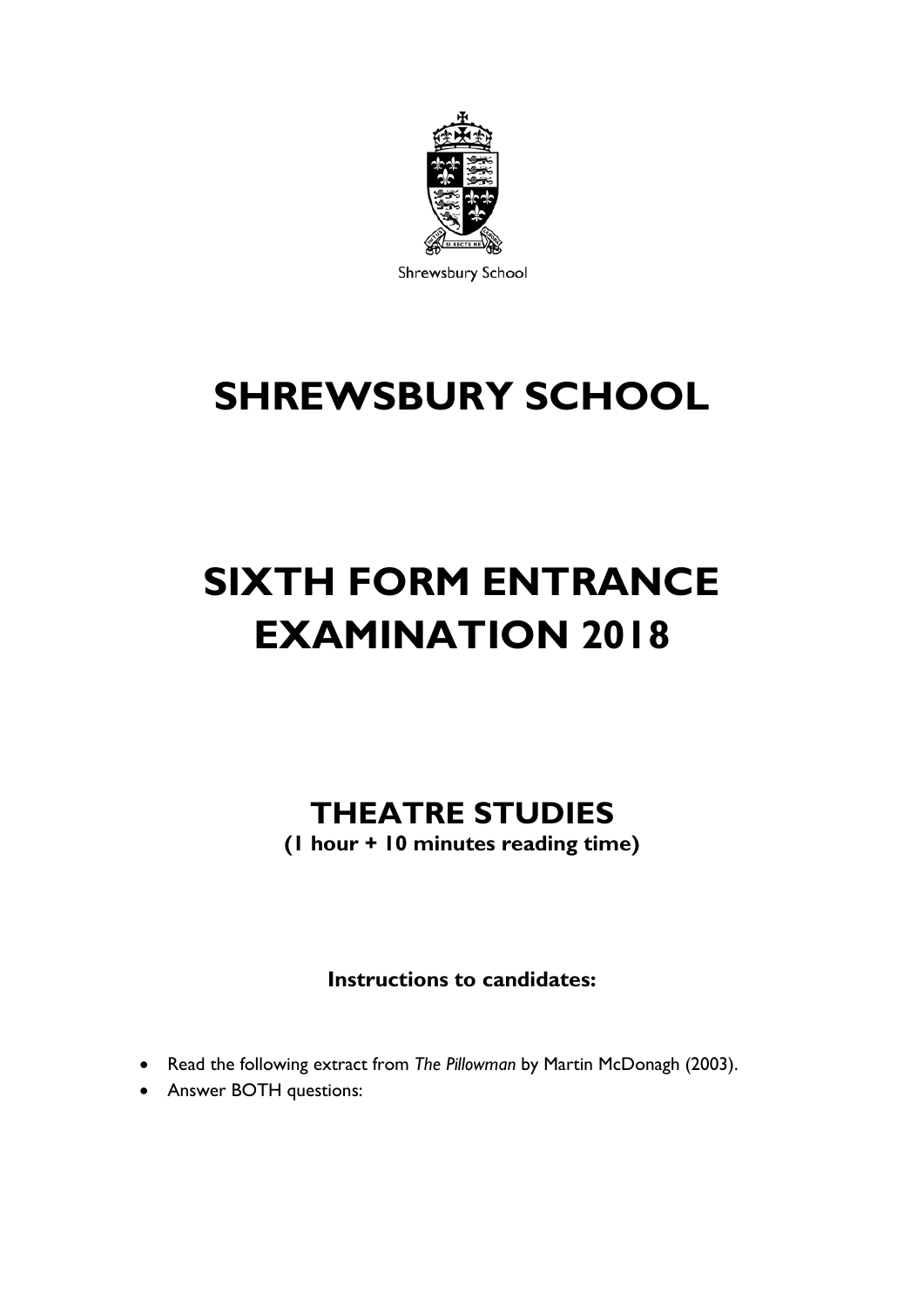

Shrewsbury School

## **SHREWSBURY SCHOOL**

# **SIXTH FORM ENTRANCE EXAMINATION 2018**

## **THEATRE STUDIES**

**(1 hour + 10 minutes reading time)**

**Instructions to candidates:**

- Read the following extract from *The Pillowman* by Martin McDonagh (2003).
- Answer BOTH questions: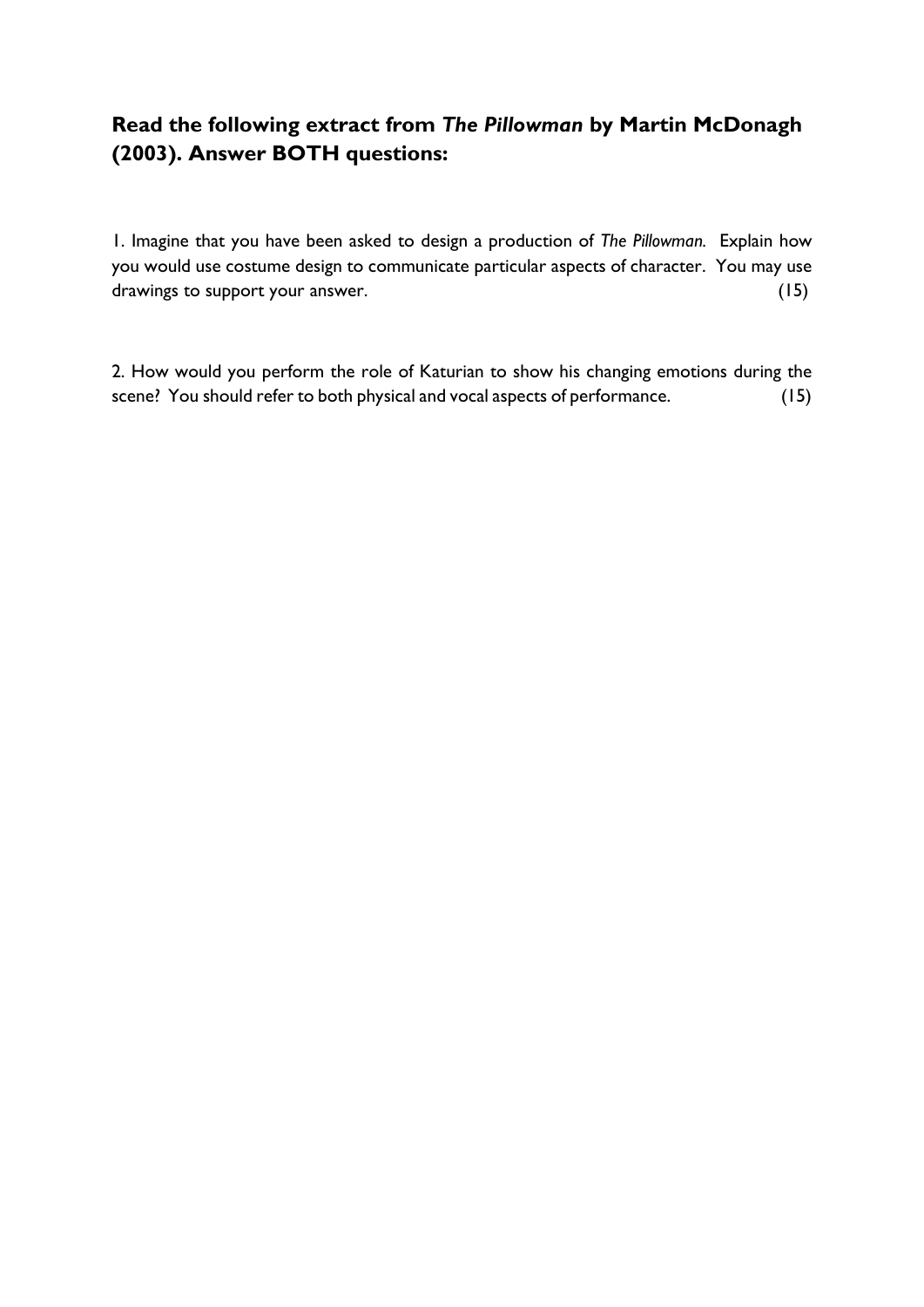## **Read the following extract from** *The Pillowman* **by Martin McDonagh (2003). Answer BOTH questions:**

1. Imagine that you have been asked to design a production of *The Pillowman.* Explain how you would use costume design to communicate particular aspects of character. You may use drawings to support your answer. (15)

2. How would you perform the role of Katurian to show his changing emotions during the scene? You should refer to both physical and vocal aspects of performance. (15)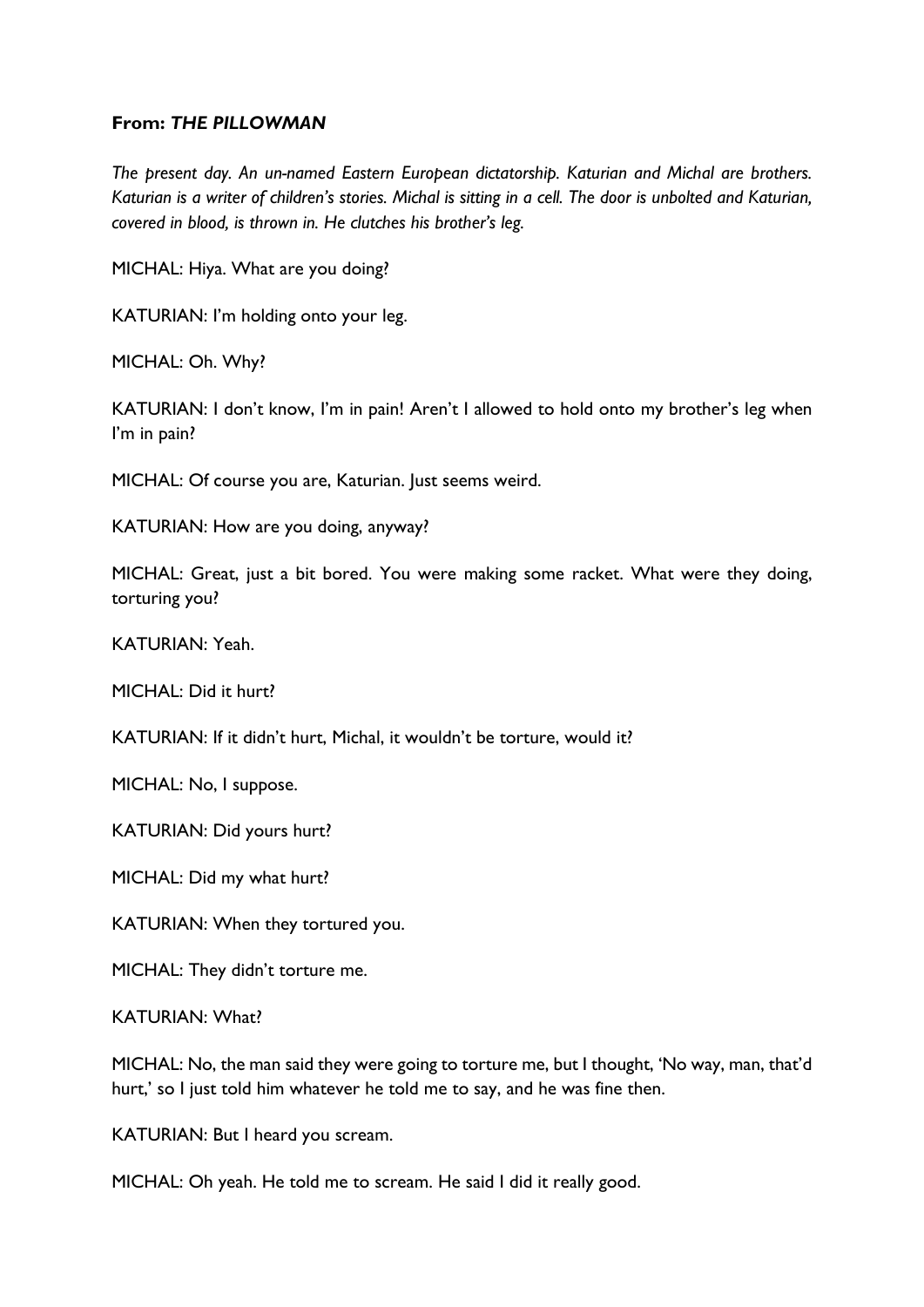### **From:** *THE PILLOWMAN*

*The present day. An un-named Eastern European dictatorship. Katurian and Michal are brothers. Katurian is a writer of children's stories. Michal is sitting in a cell. The door is unbolted and Katurian, covered in blood, is thrown in. He clutches his brother's leg.* 

MICHAL: Hiya. What are you doing?

KATURIAN: I'm holding onto your leg.

MICHAL: Oh. Why?

KATURIAN: I don't know, I'm in pain! Aren't I allowed to hold onto my brother's leg when I'm in pain?

MICHAL: Of course you are, Katurian. Just seems weird.

KATURIAN: How are you doing, anyway?

MICHAL: Great, just a bit bored. You were making some racket. What were they doing, torturing you?

KATURIAN: Yeah.

MICHAL: Did it hurt?

KATURIAN: If it didn't hurt, Michal, it wouldn't be torture, would it?

MICHAL: No, I suppose.

KATURIAN: Did yours hurt?

MICHAL: Did my what hurt?

KATURIAN: When they tortured you.

MICHAL: They didn't torture me.

KATURIAN: What?

MICHAL: No, the man said they were going to torture me, but I thought, 'No way, man, that'd hurt,' so I just told him whatever he told me to say, and he was fine then.

KATURIAN: But I heard you scream.

MICHAL: Oh yeah. He told me to scream. He said I did it really good.